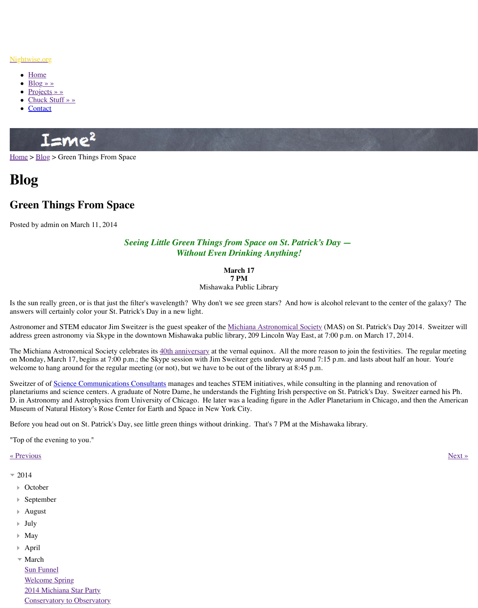## *Seeing Little Green Things from Space on St. Patrick Without Even Drinking Anyth*

## **March 17**

**7 PM** Mishawaka Public Library

Is the sun really green, or is that just the filter's wavelength? Why don't we see green stars? answ[ers will](http://www.nightwise.org/) certainly color your St. Patrick's Day in a new light.

Astro[nomer an](http://www.nightwise.org/blog/)d STEM educator Jim Sweitzer is the guest speaker of the <u>Michiana Astronomic</u>al Society (Mas) on St. Patrick Society (Mass) on St. Patrick Society and St. Patrick Society (Mass) on St. Patrick St. Patrick St. addre[ss green astr](http://www.nightwise.org/projects/)[onom](http://www.nightwise.org/chuck-stuff/)y via Skype in the downtown Mishawaka public library, 209 Lincoln

The [Michiana](http://www.nightwise.org/contact/) Astronomical Society celebrates its 40th anniversary at the vernal equinox. A on Monday, March 17, begins at 7:00 p.m.; the Skype session with Jim Sweitzer gets underw welcome to hang around for the regular meeting (or not), but we have to be out of the library

Sweitzer of of Science Communications Consultants manages and teaches STEM initiatives planetariums and science centers. A graduate of Notre Dame, he understands the Fighting Iri [D. in A](http://www.nightwise.org/)s[trono](http://www.nightwise.org/blog/)my and Astrophysics from University of Chicago. He later was a leading figure Museum of Natural History's Rose Center for Earth and Space in New York City.

Before you head out on St. Patrick's Day, see little green things without drinking. That's 7 P

"Top of the evening to you."

## « Previous » Next » Next » Next » Next » Next » Next » Next » Next » Next » Next » Next » Next » Next » Next » Next » Next » Next » Next » Next » Next » Next » Next » Next » Next » Next » Next » Next » Next » Next » Next »

- $= 2014$ 
	- October
	- September
	- August Þ
	- July
	- May
	- April
	- March Sun Funnel Welcome Spring 2014 Michiana Star Party Conservatory to Observatory